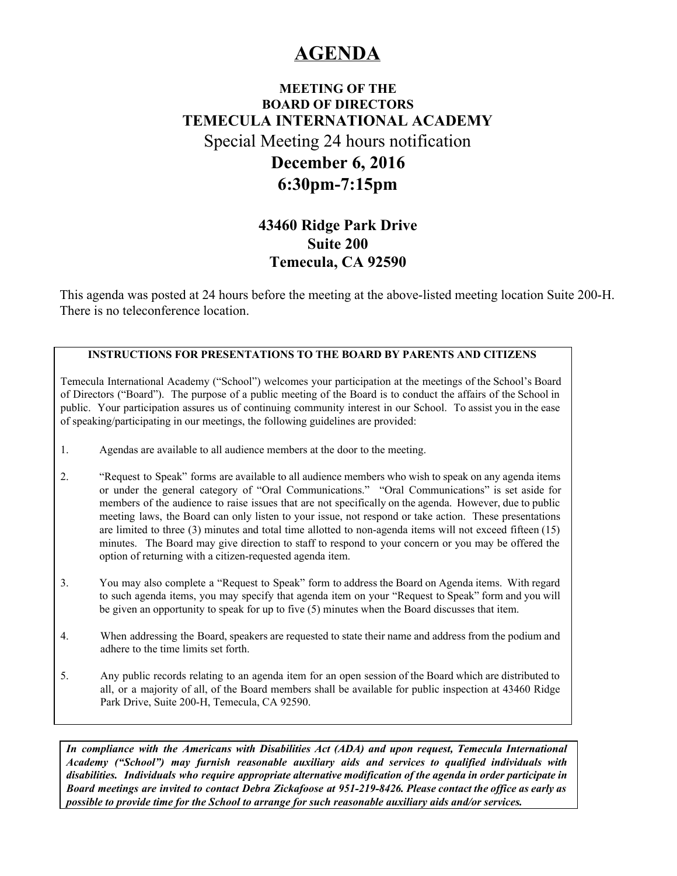# **AGENDA**

## **MEETING OF THE BOARD OF DIRECTORS TEMECULA INTERNATIONAL ACADEMY** Special Meeting 24 hours notification **December 6, 2016 6:30pm-7:15pm**

## **43460 Ridge Park Drive Suite 200 Temecula, CA 92590**

This agenda was posted at 24 hours before the meeting at the above-listed meeting location Suite 200-H. There is no teleconference location.

#### **INSTRUCTIONS FOR PRESENTATIONS TO THE BOARD BY PARENTS AND CITIZENS**

Temecula International Academy ("School") welcomes your participation at the meetings of the School's Board of Directors ("Board"). The purpose of a public meeting of the Board is to conduct the affairs of the School in public. Your participation assures us of continuing community interest in our School. To assist you in the ease of speaking/participating in our meetings, the following guidelines are provided:

- 1. Agendas are available to all audience members at the door to the meeting.
- 2. "Request to Speak" forms are available to all audience members who wish to speak on any agenda items or under the general category of "Oral Communications." "Oral Communications" is set aside for members of the audience to raise issues that are not specifically on the agenda. However, due to public meeting laws, the Board can only listen to your issue, not respond or take action. These presentations are limited to three (3) minutes and total time allotted to non-agenda items will not exceed fifteen (15) minutes. The Board may give direction to staff to respond to your concern or you may be offered the option of returning with a citizen-requested agenda item.
- 3. You may also complete a "Request to Speak" form to address the Board on Agenda items. With regard to such agenda items, you may specify that agenda item on your "Request to Speak" form and you will be given an opportunity to speak for up to five (5) minutes when the Board discusses that item.
- 4. When addressing the Board, speakers are requested to state their name and address from the podium and adhere to the time limits set forth.
- 5. Any public records relating to an agenda item for an open session of the Board which are distributed to all, or a majority of all, of the Board members shall be available for public inspection at 43460 Ridge Park Drive, Suite 200-H, Temecula, CA 92590.

*In compliance with the Americans with Disabilities Act (ADA) and upon request, Temecula International Academy ("School") may furnish reasonable auxiliary aids and services to qualified individuals with disabilities. Individuals who require appropriate alternative modification of the agenda in order participate in* Board meetings are invited to contact Debra Zickafoose at 951-219-8426. Please contact the office as early as *possible to provide time for the School to arrange for such reasonable auxiliary aids and/or services.*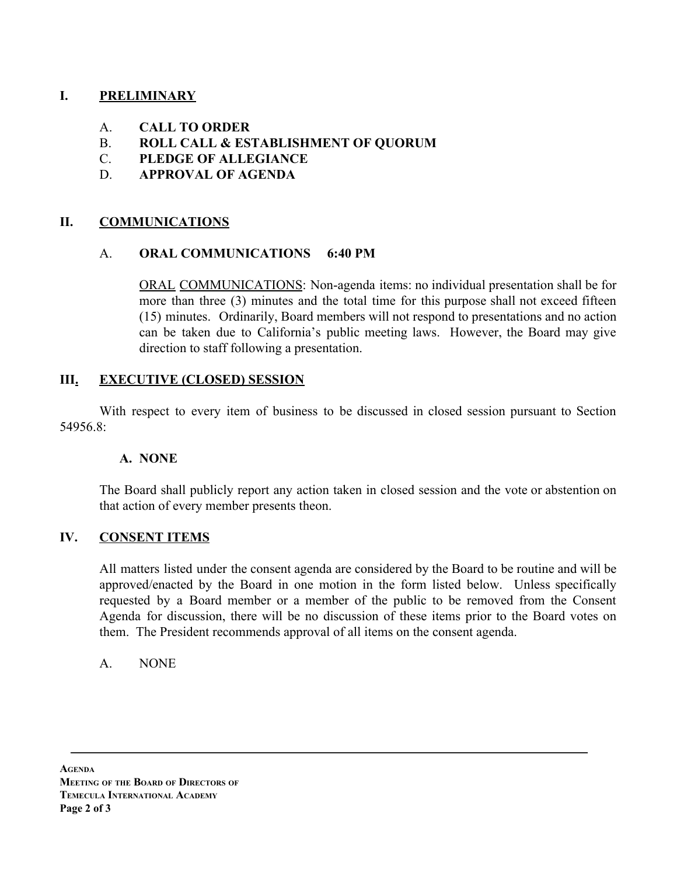## **I. PRELIMINARY**

- A. **CALL TO ORDER**
- B. **ROLL CALL & ESTABLISHMENT OF QUORUM**
- C. **PLEDGE OF ALLEGIANCE**
- D. **APPROVAL OF AGENDA**

## **II. COMMUNICATIONS**

#### A. **ORAL COMMUNICATIONS 6:40 PM**

ORAL COMMUNICATIONS: Non-agenda items: no individual presentation shall be for more than three (3) minutes and the total time for this purpose shall not exceed fifteen (15) minutes. Ordinarily, Board members will not respond to presentations and no action can be taken due to California's public meeting laws. However, the Board may give direction to staff following a presentation.

## **III. EXECUTIVE (CLOSED) SESSION**

With respect to every item of business to be discussed in closed session pursuant to Section 54956 $8<sup>1</sup>$ 

#### **A. NONE**

The Board shall publicly report any action taken in closed session and the vote or abstention on that action of every member presents theon.

## **IV. CONSENT ITEMS**

All matters listed under the consent agenda are considered by the Board to be routine and will be approved/enacted by the Board in one motion in the form listed below. Unless specifically requested by a Board member or a member of the public to be removed from the Consent Agenda for discussion, there will be no discussion of these items prior to the Board votes on them. The President recommends approval of all items on the consent agenda.

## A. NONE